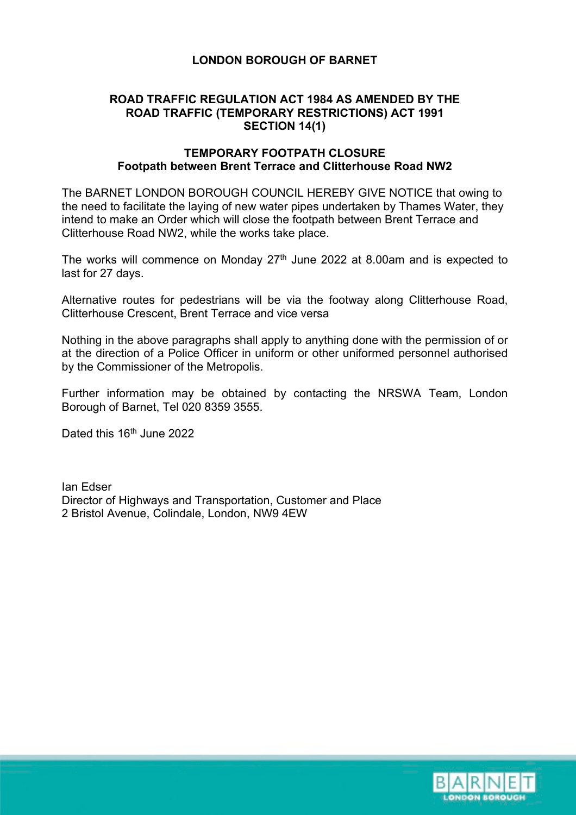# **LONDON BOROUGH OF BARNET**

## **ROAD TRAFFIC REGULATION ACT 1984 AS AMENDED BY THE ROAD TRAFFIC (TEMPORARY RESTRICTIONS) ACT 1991 SECTION 14(1)**

#### **TEMPORARY FOOTPATH CLOSURE Footpath between Brent Terrace and Clitterhouse Road NW2**

The BARNET LONDON BOROUGH COUNCIL HEREBY GIVE NOTICE that owing to the need to facilitate the laying of new water pipes undertaken by Thames Water, they intend to make an Order which will close the footpath between Brent Terrace and Clitterhouse Road NW2, while the works take place.

The works will commence on Monday  $27<sup>th</sup>$  June 2022 at 8.00am and is expected to last for 27 days.

Alternative routes for pedestrians will be via the footway along Clitterhouse Road, Clitterhouse Crescent, Brent Terrace and vice versa

Nothing in the above paragraphs shall apply to anything done with the permission of or at the direction of a Police Officer in uniform or other uniformed personnel authorised by the Commissioner of the Metropolis.

Further information may be obtained by contacting the NRSWA Team, London Borough of Barnet, Tel 020 8359 3555.

Dated this 16<sup>th</sup> June 2022

Ian Edser Director of Highways and Transportation, Customer and Place 2 Bristol Avenue, Colindale, London, NW9 4EW